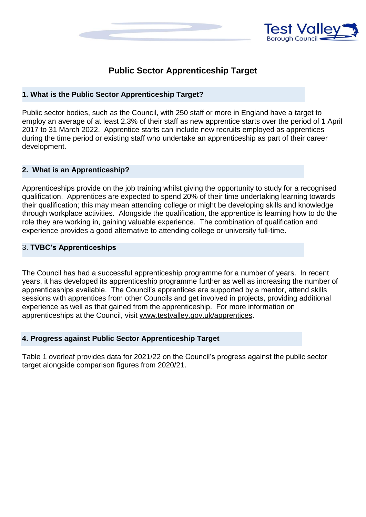



# **Public Sector Apprenticeship Target**

### **1. What is the Public Sector Apprenticeship Target?**

Public sector bodies, such as the Council, with 250 staff or more in England have a target to employ an average of at least 2.3% of their staff as new apprentice starts over the period of 1 April 2017 to 31 March 2022. Apprentice starts can include new recruits employed as apprentices during the time period or existing staff who undertake an apprenticeship as part of their career development.

### **2. What is an Apprenticeship?**

Apprenticeships provide on the job training whilst giving the opportunity to study for a recognised qualification. Apprentices are expected to spend 20% of their time undertaking learning towards their qualification; this may mean attending college or might be developing skills and knowledge through workplace activities. Alongside the qualification, the apprentice is learning how to do the role they are working in, gaining valuable experience. The combination of qualification and experience provides a good alternative to attending college or university full-time.

### 3. **TVBC's Apprenticeships**

The Council has had a successful apprenticeship programme for a number of years. In recent years, it has developed its apprenticeship programme further as well as increasing the number of apprenticeships available. The Council's apprentices are supported by a mentor, attend skills sessions with apprentices from other Councils and get involved in projects, providing additional experience as well as that gained from the apprenticeship. For more information on apprenticeships at the Council, visit [www.testvalley.gov.uk/apprentices.](http://www.testvalley.gov.uk/apprentices)

### **4. Progress against Public Sector Apprenticeship Target**

Table 1 overleaf provides data for 2021/22 on the Council's progress against the public sector target alongside comparison figures from 2020/21.